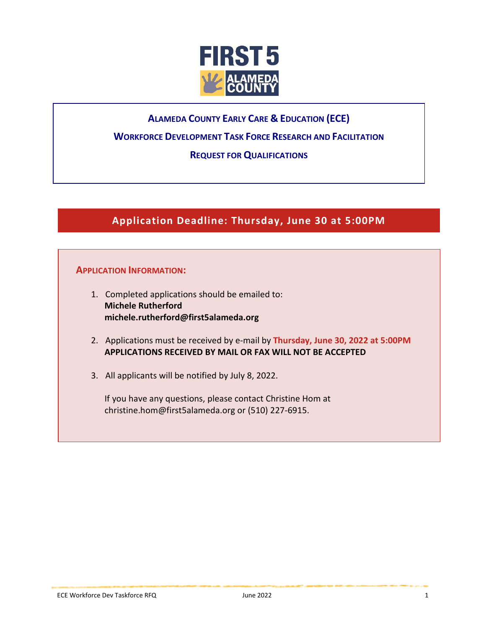

# **ALAMEDA COUNTY EARLY CARE & EDUCATION (ECE)**

# **WORKFORCE DEVELOPMENT TASK FORCE RESEARCH AND FACILITATION**

## **REQUEST FOR QUALIFICATIONS**

# **Application Deadline: Thursday, June 30 at 5:00PM**

## **APPLICATION INFORMATION:**

- 1. Completed applications should be emailed to: **Michele Rutherford michele.rutherford@first5alameda.org**
- 2. Applications must be received by e-mail by **Thursday, June 30, 2022 at 5:00PM APPLICATIONS RECEIVED BY MAIL OR FAX WILL NOT BE ACCEPTED**
- 3. All applicants will be notified by July 8, 2022.

If you have any questions, please contact Christine Hom at [christine.hom@first5alameda.org](mailto:christine.hom@first5alameda.org) or (510) 227-6915.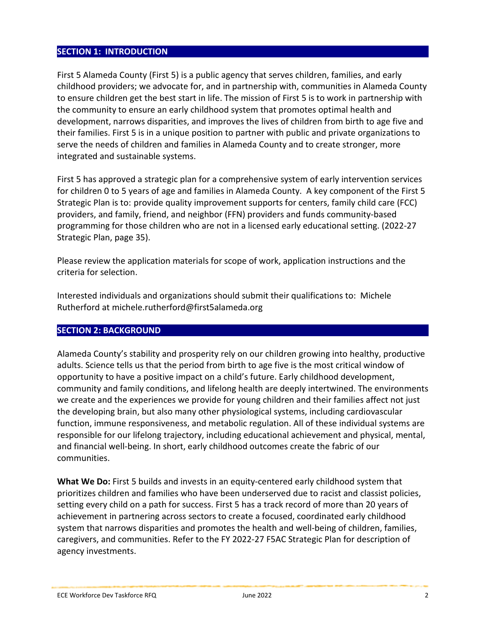## **SECTION 1: INTRODUCTION**

First 5 Alameda County (First 5) is a public agency that serves children, families, and early childhood providers; we advocate for, and in partnership with, communities in Alameda County to ensure children get the best start in life. The mission of First 5 is to work in partnership with the community to ensure an early childhood system that promotes optimal health and development, narrows disparities, and improves the lives of children from birth to age five and their families. First 5 is in a unique position to partner with public and private organizations to serve the needs of children and families in Alameda County and to create stronger, more integrated and sustainable systems.

First 5 has approved a strategic plan for a comprehensive system of early intervention services for children 0 to 5 years of age and families in Alameda County. A key component of the First 5 Strategic Plan is to: provide quality improvement supports for centers, family child care (FCC) providers, and family, friend, and neighbor (FFN) providers and funds community-based programming for those children who are not in a licensed early educational setting. (2022-27 Strategic Plan, page 35).

Please review the application materials for scope of work, application instructions and the criteria for selection.

Interested individuals and organizations should submit their qualifications to: Michele Rutherford at michele.rutherford@first5alameda.org

## **SECTION 2: BACKGROUND**

Alameda County's stability and prosperity rely on our children growing into healthy, productive adults. Science tells us that the period from birth to age five is the most critical window of opportunity to have a positive impact on a child's future. Early childhood development, community and family conditions, and lifelong health are deeply intertwined. The environments we create and the experiences we provide for young children and their families affect not just the developing brain, but also many other physiological systems, including cardiovascular function, immune responsiveness, and metabolic regulation. All of these individual systems are responsible for our lifelong trajectory, including educational achievement and physical, mental, and financial well-being. In short, early childhood outcomes create the fabric of our communities.

**What We Do:** First 5 builds and invests in an equity-centered early childhood system that prioritizes children and families who have been underserved due to racist and classist policies, setting every child on a path for success. First 5 has a track record of more than 20 years of achievement in partnering across sectors to create a focused, coordinated early childhood system that narrows disparities and promotes the health and well-being of children, families, caregivers, and communities. Refer to the FY 2022-27 F5AC Strategic Plan for description of agency investments.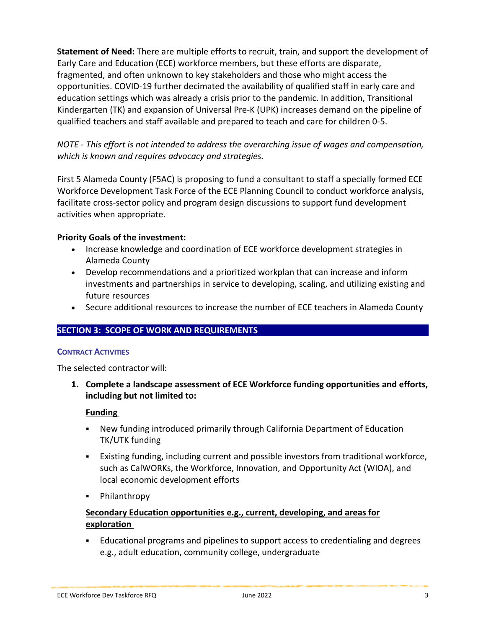**Statement of Need:** There are multiple efforts to recruit, train, and support the development of Early Care and Education (ECE) workforce members, but these efforts are disparate, fragmented, and often unknown to key stakeholders and those who might access the opportunities. COVID-19 further decimated the availability of qualified staff in early care and education settings which was already a crisis prior to the pandemic. In addition, Transitional Kindergarten (TK) and expansion of Universal Pre-K (UPK) increases demand on the pipeline of qualified teachers and staff available and prepared to teach and care for children 0-5.

*NOTE - This effort is not intended to address the overarching issue of wages and compensation, which is known and requires advocacy and strategies.*

First 5 Alameda County (F5AC) is proposing to fund a consultant to staff a specially formed ECE Workforce Development Task Force of the ECE Planning Council to conduct workforce analysis, facilitate cross-sector policy and program design discussions to support fund development activities when appropriate.

## **Priority Goals of the investment:**

- Increase knowledge and coordination of ECE workforce development strategies in Alameda County
- Develop recommendations and a prioritized workplan that can increase and inform investments and partnerships in service to developing, scaling, and utilizing existing and future resources
- Secure additional resources to increase the number of ECE teachers in Alameda County

## **SECTION 3: SCOPE OF WORK AND REQUIREMENTS**

#### **CONTRACT ACTIVITIES**

The selected contractor will:

**1. Complete a landscape assessment of ECE Workforce funding opportunities and efforts, including but not limited to:** 

## **Funding**

- New funding introduced primarily through California Department of Education TK/UTK funding
- Existing funding, including current and possible investors from traditional workforce, such as CalWORKs, the Workforce, Innovation, and Opportunity Act (WIOA), and local economic development efforts
- Philanthropy

# **Secondary Education opportunities e.g., current, developing, and areas for exploration**

 Educational programs and pipelines to support access to credentialing and degrees e.g., adult education, community college, undergraduate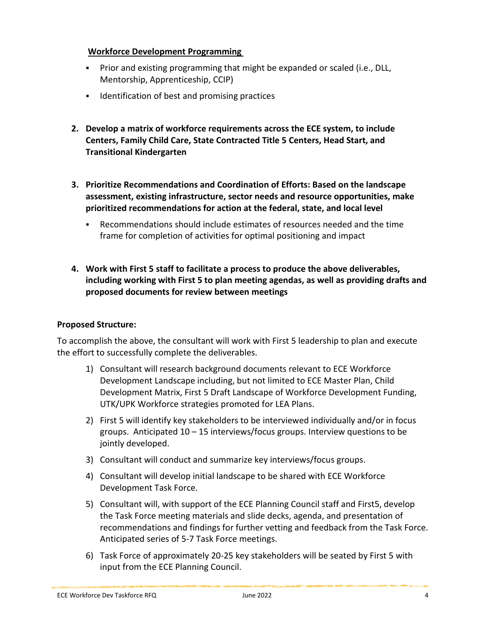## **Workforce Development Programming**

- Prior and existing programming that might be expanded or scaled (i.e., DLL, Mentorship, Apprenticeship, CCIP)
- **IDENTIFICATE ATTLE 15 IDENTIFICATE:** Identification of best and promising practices
- **2. Develop a matrix of workforce requirements across the ECE system, to include Centers, Family Child Care, State Contracted Title 5 Centers, Head Start, and Transitional Kindergarten**
- **3. Prioritize Recommendations and Coordination of Efforts: Based on the landscape assessment, existing infrastructure, sector needs and resource opportunities, make prioritized recommendations for action at the federal, state, and local level** 
	- Recommendations should include estimates of resources needed and the time frame for completion of activities for optimal positioning and impact
- **4. Work with First 5 staff to facilitate a process to produce the above deliverables, including working with First 5 to plan meeting agendas, as well as providing drafts and proposed documents for review between meetings**

## **Proposed Structure:**

To accomplish the above, the consultant will work with First 5 leadership to plan and execute the effort to successfully complete the deliverables.

- 1) Consultant will research background documents relevant to ECE Workforce Development Landscape including, but not limited to ECE Master Plan, Child Development Matrix, First 5 Draft Landscape of Workforce Development Funding, UTK/UPK Workforce strategies promoted for LEA Plans.
- 2) First 5 will identify key stakeholders to be interviewed individually and/or in focus groups. Anticipated 10 – 15 interviews/focus groups. Interview questions to be jointly developed.
- 3) Consultant will conduct and summarize key interviews/focus groups.
- 4) Consultant will develop initial landscape to be shared with ECE Workforce Development Task Force.
- 5) Consultant will, with support of the ECE Planning Council staff and First5, develop the Task Force meeting materials and slide decks, agenda, and presentation of recommendations and findings for further vetting and feedback from the Task Force. Anticipated series of 5-7 Task Force meetings.
- 6) Task Force of approximately 20-25 key stakeholders will be seated by First 5 with input from the ECE Planning Council.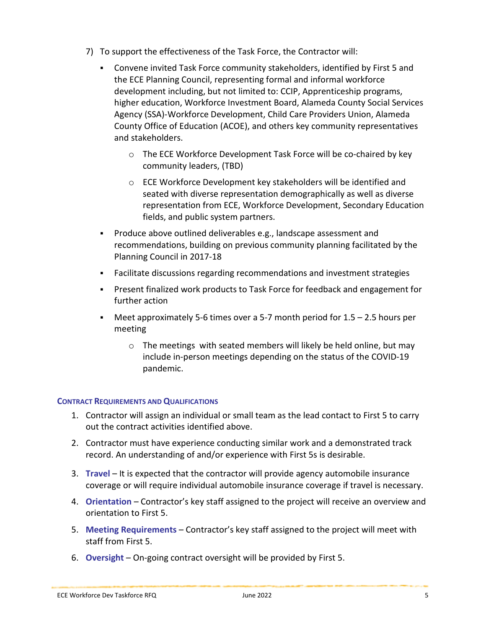- 7) To support the effectiveness of the Task Force, the Contractor will:
	- Convene invited Task Force community stakeholders, identified by First 5 and the ECE Planning Council, representing formal and informal workforce development including, but not limited to: CCIP, Apprenticeship programs, higher education, Workforce Investment Board, Alameda County Social Services Agency (SSA)-Workforce Development, Child Care Providers Union, Alameda County Office of Education (ACOE), and others key community representatives and stakeholders.
		- o The ECE Workforce Development Task Force will be co-chaired by key community leaders, (TBD)
		- o ECE Workforce Development key stakeholders will be identified and seated with diverse representation demographically as well as diverse representation from ECE, Workforce Development, Secondary Education fields, and public system partners.
	- **Produce above outlined deliverables e.g., landscape assessment and** recommendations, building on previous community planning facilitated by the Planning Council in 2017-18
	- Facilitate discussions regarding recommendations and investment strategies
	- Present finalized work products to Task Force for feedback and engagement for further action
	- Meet approximately 5-6 times over a 5-7 month period for 1.5 2.5 hours per meeting
		- o The meetings with seated members will likely be held online, but may include in-person meetings depending on the status of the COVID-19 pandemic.

## **CONTRACT REQUIREMENTS AND QUALIFICATIONS**

- 1. Contractor will assign an individual or small team as the lead contact to First 5 to carry out the contract activities identified above.
- 2. Contractor must have experience conducting similar work and a demonstrated track record. An understanding of and/or experience with First 5s is desirable.
- 3. **Travel** It is expected that the contractor will provide agency automobile insurance coverage or will require individual automobile insurance coverage if travel is necessary.
- 4. **Orientation** Contractor's key staff assigned to the project will receive an overview and orientation to First 5.
- 5. **Meeting Requirements** Contractor's key staff assigned to the project will meet with staff from First 5.
- 6. **Oversight**  On-going contract oversight will be provided by First 5.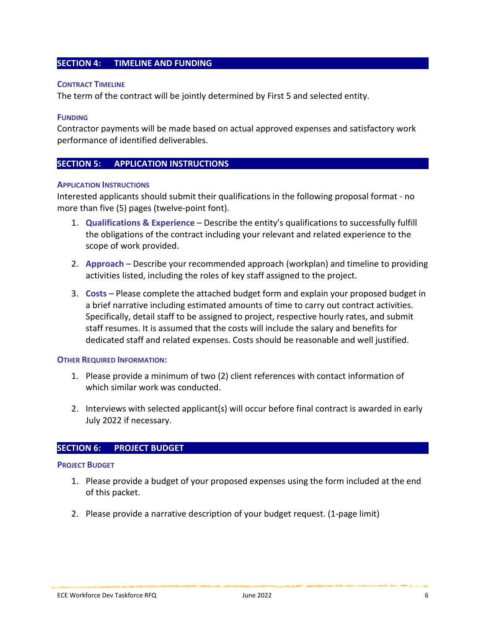### **SECTION 4: TIMELINE AND FUNDING**

#### **CONTRACT TIMELINE**

The term of the contract will be jointly determined by First 5 and selected entity.

#### **FUNDING**

Contractor payments will be made based on actual approved expenses and satisfactory work performance of identified deliverables.

#### **SECTION 5: APPLICATION INSTRUCTIONS**

#### **APPLICATION INSTRUCTIONS**

Interested applicants should submit their qualifications in the following proposal format - no more than five (5) pages (twelve-point font).

- 1. **Qualifications & Experience** Describe the entity's qualifications to successfully fulfill the obligations of the contract including your relevant and related experience to the scope of work provided.
- 2. **Approach** Describe your recommended approach (workplan) and timeline to providing activities listed, including the roles of key staff assigned to the project.
- 3. **Costs** Please complete the attached budget form and explain your proposed budget in a brief narrative including estimated amounts of time to carry out contract activities. Specifically, detail staff to be assigned to project, respective hourly rates, and submit staff resumes. It is assumed that the costs will include the salary and benefits for dedicated staff and related expenses. Costs should be reasonable and well justified.

#### **OTHER REQUIRED INFORMATION:**

- 1. Please provide a minimum of two (2) client references with contact information of which similar work was conducted.
- 2. Interviews with selected applicant(s) will occur before final contract is awarded in early July 2022 if necessary.

## **SECTION 6: PROJECT BUDGET**

#### **PROJECT BUDGET**

- 1. Please provide a budget of your proposed expenses using the form included at the end of this packet.
- 2. Please provide a narrative description of your budget request. (1-page limit)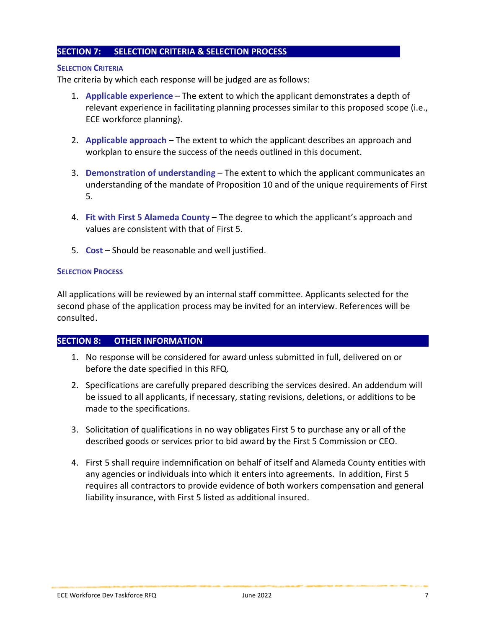### **SECTION 7: SELECTION CRITERIA & SELECTION PROCESS**

#### **SELECTION CRITERIA**

The criteria by which each response will be judged are as follows:

- 1. **Applicable experience** The extent to which the applicant demonstrates a depth of relevant experience in facilitating planning processes similar to this proposed scope (i.e., ECE workforce planning).
- 2. **Applicable approach** The extent to which the applicant describes an approach and workplan to ensure the success of the needs outlined in this document.
- 3. **Demonstration of understanding** The extent to which the applicant communicates an understanding of the mandate of Proposition 10 and of the unique requirements of First 5.
- 4. **Fit with First 5 Alameda County**  The degree to which the applicant's approach and values are consistent with that of First 5.
- 5. **Cost** Should be reasonable and well justified.

#### **SELECTION PROCESS**

All applications will be reviewed by an internal staff committee. Applicants selected for the second phase of the application process may be invited for an interview. References will be consulted.

### **SECTION 8: OTHER INFORMATION**

- 1. No response will be considered for award unless submitted in full, delivered on or before the date specified in this RFQ.
- 2. Specifications are carefully prepared describing the services desired. An addendum will be issued to all applicants, if necessary, stating revisions, deletions, or additions to be made to the specifications.
- 3. Solicitation of qualifications in no way obligates First 5 to purchase any or all of the described goods or services prior to bid award by the First 5 Commission or CEO.
- 4. First 5 shall require indemnification on behalf of itself and Alameda County entities with any agencies or individuals into which it enters into agreements. In addition, First 5 requires all contractors to provide evidence of both workers compensation and general liability insurance, with First 5 listed as additional insured.